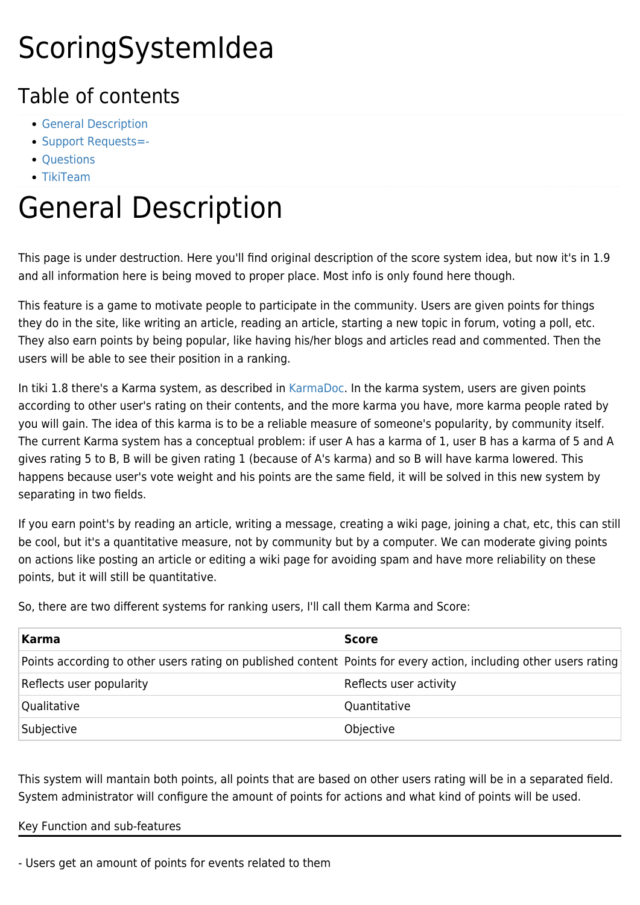# ScoringSystemIdea

### Table of contents

- [General Description](#page--1-0)
- [Support Requests=-](#page--1-0)
- [Questions](#page--1-0)
- [TikiTeam](#page--1-0)

# General Description

This page is under destruction. Here you'll find original description of the score system idea, but now it's in 1.9 and all information here is being moved to proper place. Most info is only found here though.

This feature is a game to motivate people to participate in the community. Users are given points for things they do in the site, like writing an article, reading an article, starting a new topic in forum, voting a poll, etc. They also earn points by being popular, like having his/her blogs and articles read and commented. Then the users will be able to see their position in a ranking.

In tiki 1.8 there's a Karma system, as described in [KarmaDoc](https://tiki.org/KarmaDoc). In the karma system, users are given points according to other user's rating on their contents, and the more karma you have, more karma people rated by you will gain. The idea of this karma is to be a reliable measure of someone's popularity, by community itself. The current Karma system has a conceptual problem: if user A has a karma of 1, user B has a karma of 5 and A gives rating 5 to B, B will be given rating 1 (because of A's karma) and so B will have karma lowered. This happens because user's vote weight and his points are the same field, it will be solved in this new system by separating in two fields.

If you earn point's by reading an article, writing a message, creating a wiki page, joining a chat, etc, this can still be cool, but it's a quantitative measure, not by community but by a computer. We can moderate giving points on actions like posting an article or editing a wiki page for avoiding spam and have more reliability on these points, but it will still be quantitative.

So, there are two different systems for ranking users, I'll call them Karma and Score:

| Karma                                                                                                             | <b>Score</b>           |
|-------------------------------------------------------------------------------------------------------------------|------------------------|
| Points according to other users rating on published content Points for every action, including other users rating |                        |
| Reflects user popularity                                                                                          | Reflects user activity |
| Qualitative                                                                                                       | Quantitative           |
| Subjective                                                                                                        | Objective              |

This system will mantain both points, all points that are based on other users rating will be in a separated field. System administrator will configure the amount of points for actions and what kind of points will be used.

Key Function and sub-features

- Users get an amount of points for events related to them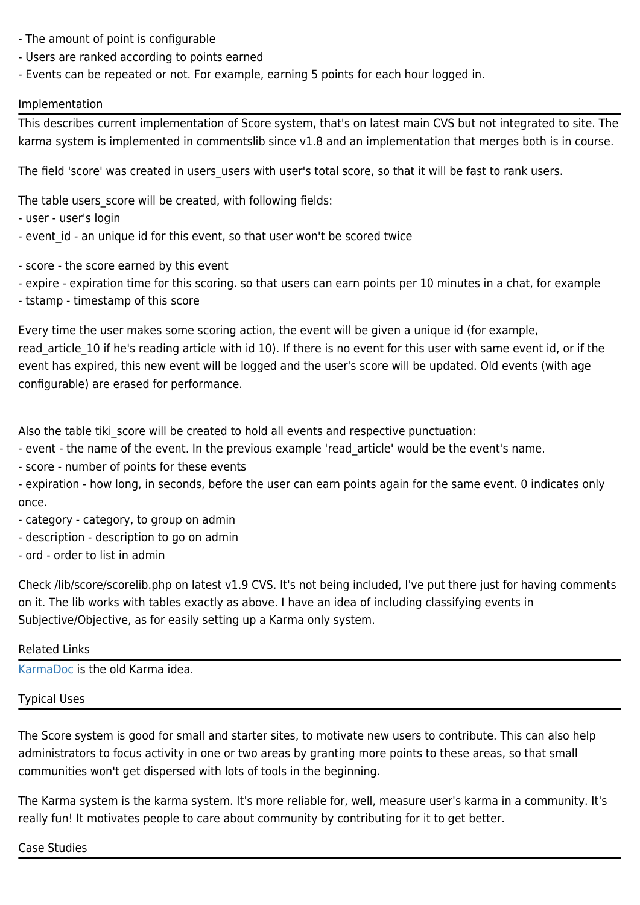- The amount of point is configurable
- Users are ranked according to points earned
- Events can be repeated or not. For example, earning 5 points for each hour logged in.

#### Implementation

This describes current implementation of Score system, that's on latest main CVS but not integrated to site. The karma system is implemented in commentslib since v1.8 and an implementation that merges both is in course.

The field 'score' was created in users\_users with user's total score, so that it will be fast to rank users.

The table users score will be created, with following fields:

- user - user's login

- event id an unique id for this event, so that user won't be scored twice
- score the score earned by this event
- expire expiration time for this scoring. so that users can earn points per 10 minutes in a chat, for example
- tstamp timestamp of this score

Every time the user makes some scoring action, the event will be given a unique id (for example, read article 10 if he's reading article with id 10). If there is no event for this user with same event id, or if the event has expired, this new event will be logged and the user's score will be updated. Old events (with age configurable) are erased for performance.

Also the table tiki score will be created to hold all events and respective punctuation:

- event - the name of the event. In the previous example 'read\_article' would be the event's name.

- score - number of points for these events

- expiration - how long, in seconds, before the user can earn points again for the same event. 0 indicates only once.

- category category, to group on admin
- description description to go on admin
- ord order to list in admin

Check /lib/score/scorelib.php on latest v1.9 CVS. It's not being included, I've put there just for having comments on it. The lib works with tables exactly as above. I have an idea of including classifying events in Subjective/Objective, as for easily setting up a Karma only system.

#### Related Links

[KarmaDoc](https://tiki.org/KarmaDoc) is the old Karma idea.

Typical Uses

The Score system is good for small and starter sites, to motivate new users to contribute. This can also help administrators to focus activity in one or two areas by granting more points to these areas, so that small communities won't get dispersed with lots of tools in the beginning.

The Karma system is the karma system. It's more reliable for, well, measure user's karma in a community. It's really fun! It motivates people to care about community by contributing for it to get better.

#### Case Studies